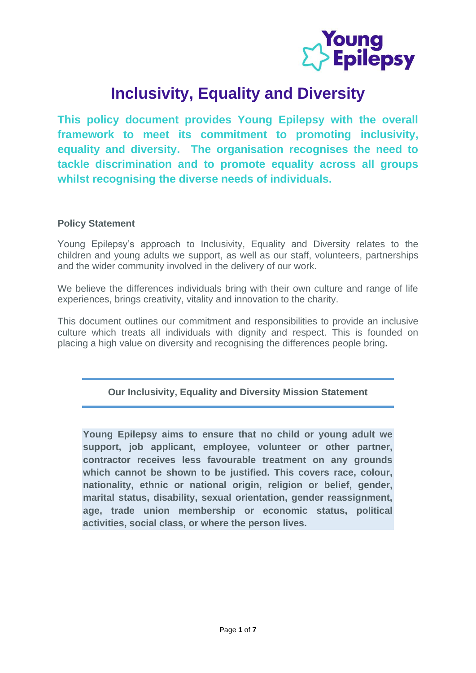

# **Inclusivity, Equality and Diversity**

**This policy document provides Young Epilepsy with the overall framework to meet its commitment to promoting inclusivity, equality and diversity. The organisation recognises the need to tackle discrimination and to promote equality across all groups whilst recognising the diverse needs of individuals.**

### **Policy Statement**

Young Epilepsy's approach to Inclusivity, Equality and Diversity relates to the children and young adults we support, as well as our staff, volunteers, partnerships and the wider community involved in the delivery of our work.

We believe the differences individuals bring with their own culture and range of life experiences, brings creativity, vitality and innovation to the charity.

This document outlines our commitment and responsibilities to provide an inclusive culture which treats all individuals with dignity and respect. This is founded on placing a high value on diversity and recognising the differences people bring**.**

**Our Inclusivity, Equality and Diversity Mission Statement**

**Young Epilepsy aims to ensure that no child or young adult we support, job applicant, employee, volunteer or other partner, contractor receives less favourable treatment on any grounds which cannot be shown to be justified. This covers race, colour, nationality, ethnic or national origin, religion or belief, gender, marital status, disability, sexual orientation, gender reassignment, age, trade union membership or economic status, political activities, social class, or where the person lives.**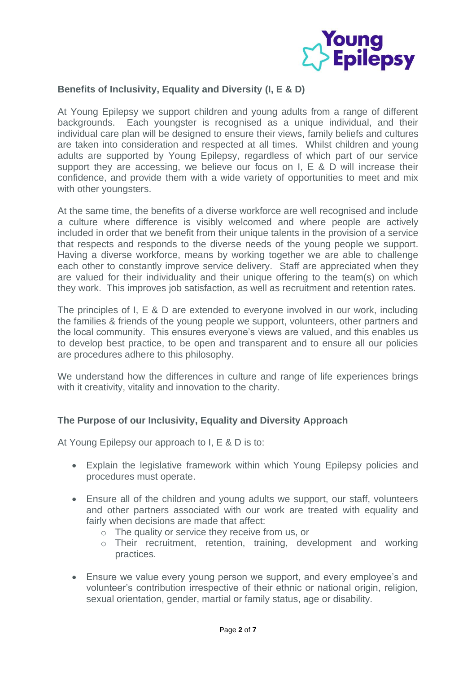

## **Benefits of Inclusivity, Equality and Diversity (I, E & D)**

At Young Epilepsy we support children and young adults from a range of different backgrounds. Each youngster is recognised as a unique individual, and their individual care plan will be designed to ensure their views, family beliefs and cultures are taken into consideration and respected at all times. Whilst children and young adults are supported by Young Epilepsy, regardless of which part of our service support they are accessing, we believe our focus on I, E & D will increase their confidence, and provide them with a wide variety of opportunities to meet and mix with other youngsters.

At the same time, the benefits of a diverse workforce are well recognised and include a culture where difference is visibly welcomed and where people are actively included in order that we benefit from their unique talents in the provision of a service that respects and responds to the diverse needs of the young people we support. Having a diverse workforce, means by working together we are able to challenge each other to constantly improve service delivery. Staff are appreciated when they are valued for their individuality and their unique offering to the team(s) on which they work. This improves job satisfaction, as well as recruitment and retention rates.

The principles of I, E & D are extended to everyone involved in our work, including the families & friends of the young people we support, volunteers, other partners and the local community. This ensures everyone's views are valued, and this enables us to develop best practice, to be open and transparent and to ensure all our policies are procedures adhere to this philosophy.

We understand how the differences in culture and range of life experiences brings with it creativity, vitality and innovation to the charity.

### **The Purpose of our Inclusivity, Equality and Diversity Approach**

At Young Epilepsy our approach to I, E & D is to:

- Explain the legislative framework within which Young Epilepsy policies and procedures must operate.
- Ensure all of the children and young adults we support, our staff, volunteers and other partners associated with our work are treated with equality and fairly when decisions are made that affect:
	- o The quality or service they receive from us, or
	- o Their recruitment, retention, training, development and working practices.
- Ensure we value every young person we support, and every employee's and volunteer's contribution irrespective of their ethnic or national origin, religion, sexual orientation, gender, martial or family status, age or disability.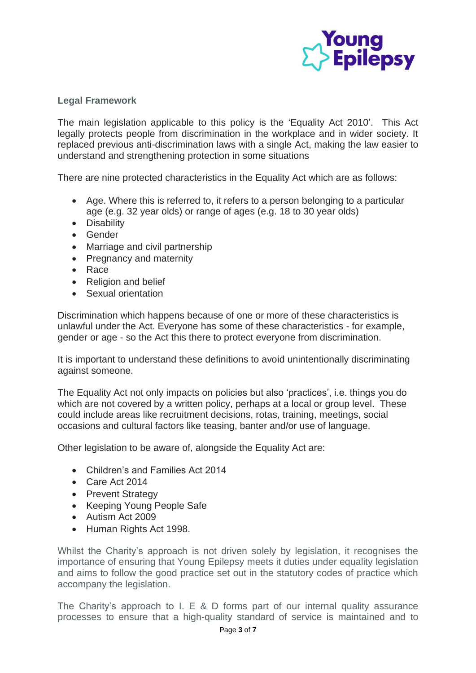

## **Legal Framework**

The main legislation applicable to this policy is the 'Equality Act 2010'. This Act legally protects people from discrimination in the workplace and in wider society. It replaced previous anti-discrimination laws with a single Act, making the law easier to understand and strengthening protection in some situations

There are nine protected characteristics in the Equality Act which are as follows:

- Age. Where this is referred to, it refers to a person belonging to a particular age (e.g. 32 year olds) or range of ages (e.g. 18 to 30 year olds)
- Disability
- Gender
- Marriage and civil partnership
- Pregnancy and maternity
- Race
- Religion and belief
- Sexual orientation

Discrimination which happens because of one or more of these characteristics is unlawful under the Act. Everyone has some of these characteristics - for example, gender or age - so the Act this there to protect everyone from discrimination.

It is important to understand these definitions to avoid unintentionally discriminating against someone.

The Equality Act not only impacts on policies but also 'practices', i.e. things you do which are not covered by a written policy, perhaps at a local or group level. These could include areas like recruitment decisions, rotas, training, meetings, social occasions and cultural factors like teasing, banter and/or use of language.

Other legislation to be aware of, alongside the Equality Act are:

- Children's and Families Act 2014
- Care Act 2014
- Prevent Strategy
- Keeping Young People Safe
- Autism Act 2009
- Human Rights Act 1998.

Whilst the Charity's approach is not driven solely by legislation, it recognises the importance of ensuring that Young Epilepsy meets it duties under equality legislation and aims to follow the good practice set out in the statutory codes of practice which accompany the legislation.

The Charity's approach to I. E & D forms part of our internal quality assurance processes to ensure that a high-quality standard of service is maintained and to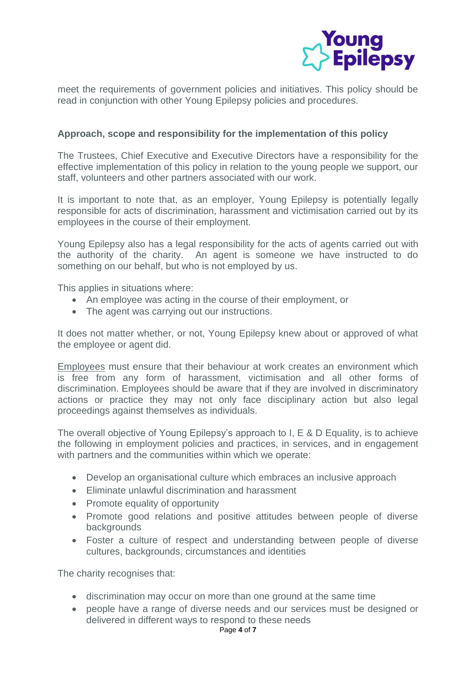

meet the requirements of government policies and initiatives. This policy should be read in conjunction with other Young Epilepsy policies and procedures.

### **Approach, scope and responsibility for the implementation of this policy**

The Trustees, Chief Executive and Executive Directors have a responsibility for the effective implementation of this policy in relation to the young people we support, our staff, volunteers and other partners associated with our work.

It is important to note that, as an employer, Young Epilepsy is potentially legally responsible for acts of discrimination, harassment and victimisation carried out by its employees in the course of their employment.

Young Epilepsy also has a legal responsibility for the acts of agents carried out with the authority of the charity. An agent is someone we have instructed to do something on our behalf, but who is not employed by us.

This applies in situations where:

- An employee was acting in the course of their employment, or
- The agent was carrying out our instructions.

It does not matter whether, or not, Young Epilepsy knew about or approved of what the employee or agent did.

Employees must ensure that their behaviour at work creates an environment which is free from any form of harassment, victimisation and all other forms of discrimination. Employees should be aware that if they are involved in discriminatory actions or practice they may not only face disciplinary action but also legal proceedings against themselves as individuals.

The overall objective of Young Epilepsy's approach to I, E & D Equality, is to achieve the following in employment policies and practices, in services, and in engagement with partners and the communities within which we operate:

- Develop an organisational culture which embraces an inclusive approach
- Eliminate unlawful discrimination and harassment
- Promote equality of opportunity
- Promote good relations and positive attitudes between people of diverse backgrounds
- Foster a culture of respect and understanding between people of diverse cultures, backgrounds, circumstances and identities

The charity recognises that:

- discrimination may occur on more than one ground at the same time
- people have a range of diverse needs and our services must be designed or delivered in different ways to respond to these needs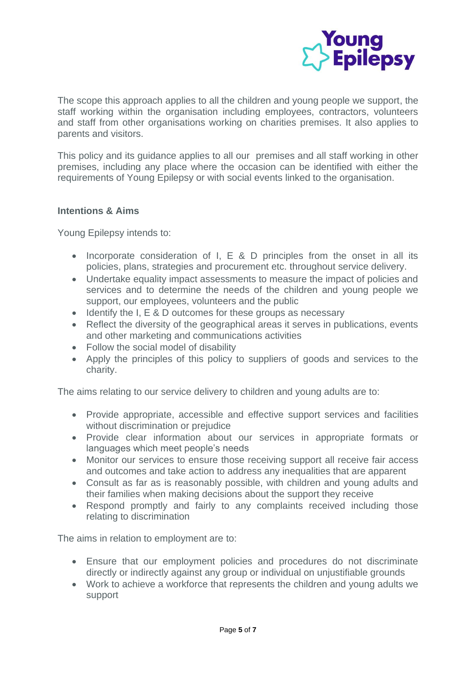

The scope this approach applies to all the children and young people we support, the staff working within the organisation including employees, contractors, volunteers and staff from other organisations working on charities premises. It also applies to parents and visitors.

This policy and its guidance applies to all our premises and all staff working in other premises, including any place where the occasion can be identified with either the requirements of Young Epilepsy or with social events linked to the organisation.

### **Intentions & Aims**

Young Epilepsy intends to:

- Incorporate consideration of I, E & D principles from the onset in all its policies, plans, strategies and procurement etc. throughout service delivery.
- Undertake equality impact assessments to measure the impact of policies and services and to determine the needs of the children and young people we support, our employees, volunteers and the public
- Identify the I, E & D outcomes for these groups as necessary
- Reflect the diversity of the geographical areas it serves in publications, events and other marketing and communications activities
- Follow the social model of disability
- Apply the principles of this policy to suppliers of goods and services to the charity.

The aims relating to our service delivery to children and young adults are to:

- Provide appropriate, accessible and effective support services and facilities without discrimination or prejudice
- Provide clear information about our services in appropriate formats or languages which meet people's needs
- Monitor our services to ensure those receiving support all receive fair access and outcomes and take action to address any inequalities that are apparent
- Consult as far as is reasonably possible, with children and young adults and their families when making decisions about the support they receive
- Respond promptly and fairly to any complaints received including those relating to discrimination

The aims in relation to employment are to:

- Ensure that our employment policies and procedures do not discriminate directly or indirectly against any group or individual on unjustifiable grounds
- Work to achieve a workforce that represents the children and young adults we support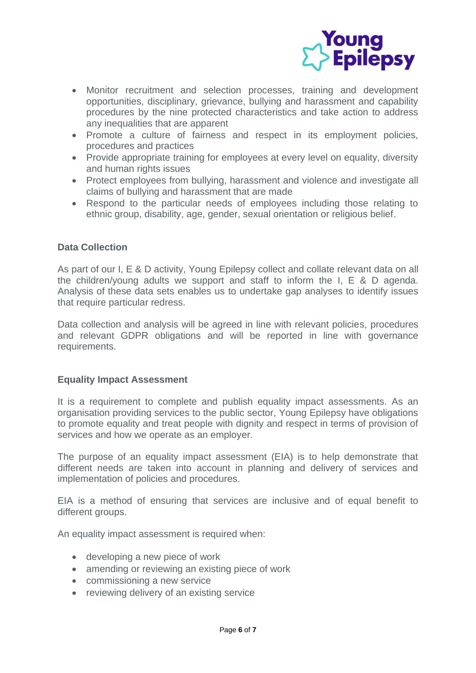

- Monitor recruitment and selection processes, training and development opportunities, disciplinary, grievance, bullying and harassment and capability procedures by the nine protected characteristics and take action to address any inequalities that are apparent
- Promote a culture of fairness and respect in its employment policies, procedures and practices
- Provide appropriate training for employees at every level on equality, diversity and human rights issues
- Protect employees from bullying, harassment and violence and investigate all claims of bullying and harassment that are made
- Respond to the particular needs of employees including those relating to ethnic group, disability, age, gender, sexual orientation or religious belief.

## **Data Collection**

As part of our I, E & D activity, Young Epilepsy collect and collate relevant data on all the children/young adults we support and staff to inform the I, E & D agenda. Analysis of these data sets enables us to undertake gap analyses to identify issues that require particular redress.

Data collection and analysis will be agreed in line with relevant policies, procedures and relevant GDPR obligations and will be reported in line with governance requirements.

### **Equality Impact Assessment**

It is a requirement to complete and publish equality impact assessments. As an organisation providing services to the public sector, Young Epilepsy have obligations to promote equality and treat people with dignity and respect in terms of provision of services and how we operate as an employer.

The purpose of an equality impact assessment (EIA) is to help demonstrate that different needs are taken into account in planning and delivery of services and implementation of policies and procedures.

EIA is a method of ensuring that services are inclusive and of equal benefit to different groups.

An equality impact assessment is required when:

- developing a new piece of work
- amending or reviewing an existing piece of work
- commissioning a new service
- reviewing delivery of an existing service